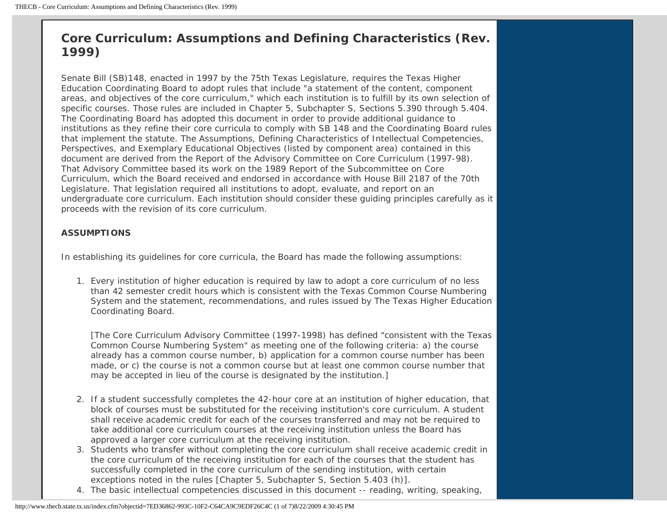# **Core Curriculum: Assumptions and Defining Characteristics (Rev. 1999)**

Senate Bill (SB)148, enacted in 1997 by the 75th Texas Legislature, requires the Texas Higher Education Coordinating Board to adopt rules that include "a statement of the content, component areas, and objectives of the core curriculum," which each institution is to fulfill by its own selection of specific courses. Those rules are included in Chapter 5, Subchapter S, Sections 5.390 through 5.404. The Coordinating Board has adopted this document in order to provide additional guidance to institutions as they refine their core curricula to comply with SB 148 and the Coordinating Board rules that implement the statute. The Assumptions, Defining Characteristics of Intellectual Competencies, Perspectives, and Exemplary Educational Objectives (listed by component area) contained in this document are derived from the Report of the Advisory Committee on Core Curriculum (1997-98). That Advisory Committee based its work on the 1989 Report of the Subcommittee on Core Curriculum, which the Board received and endorsed in accordance with House Bill 2187 of the 70th Legislature. That legislation required all institutions to adopt, evaluate, and report on an undergraduate core curriculum. Each institution should consider these guiding principles carefully as it proceeds with the revision of its core curriculum.

### **ASSUMPTIONS**

In establishing its guidelines for core curricula, the Board has made the following assumptions:

1. Every institution of higher education is required by law to adopt a core curriculum of no less than 42 semester credit hours which is consistent with the Texas Common Course Numbering System and the statement, recommendations, and rules issued by The Texas Higher Education Coordinating Board.

[The Core Curriculum Advisory Committee (1997-1998) has defined "consistent with the Texas Common Course Numbering System" as meeting one of the following criteria: a) the course already has a common course number, b) application for a common course number has been made, or c) the course is not a common course but at least one common course number that may be accepted in lieu of the course is designated by the institution.]

- 2. If a student successfully completes the 42-hour core at an institution of higher education, that block of courses must be substituted for the receiving institution's core curriculum. A student shall receive academic credit for each of the courses transferred and may not be required to take additional core curriculum courses at the receiving institution unless the Board has approved a larger core curriculum at the receiving institution.
- 3. Students who transfer without completing the core curriculum shall receive academic credit in the core curriculum of the receiving institution for each of the courses that the student has successfully completed in the core curriculum of the sending institution, with certain exceptions noted in the rules [Chapter 5, Subchapter S, Section 5.403 (h)].
- 4. The basic intellectual competencies discussed in this document -- reading, writing, speaking,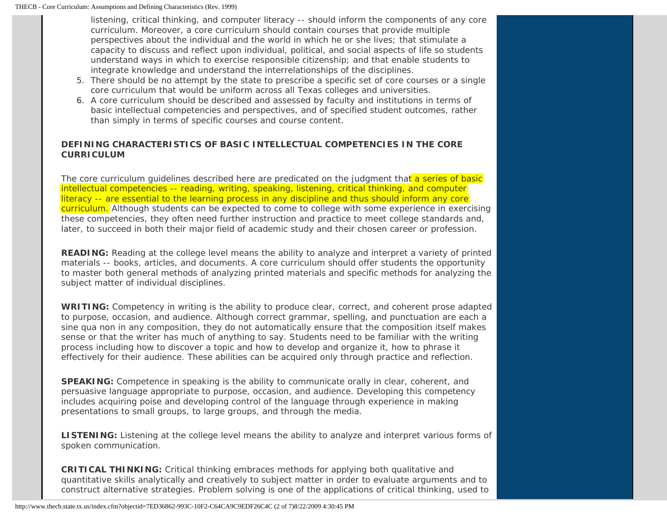listening, critical thinking, and computer literacy -- should inform the components of any core curriculum. Moreover, a core curriculum should contain courses that provide multiple perspectives about the individual and the world in which he or she lives; that stimulate a capacity to discuss and reflect upon individual, political, and social aspects of life so students understand ways in which to exercise responsible citizenship; and that enable students to integrate knowledge and understand the interrelationships of the disciplines.

- 5. There should be no attempt by the state to prescribe a specific set of core courses or a single core curriculum that would be uniform across all Texas colleges and universities.
- 6. A core curriculum should be described and assessed by faculty and institutions in terms of basic intellectual competencies and perspectives, and of specified student outcomes, rather than simply in terms of specific courses and course content.

# **DEFINING CHARACTERISTICS OF BASIC INTELLECTUAL COMPETENCIES IN THE CORE CURRICULUM**

The core curriculum guidelines described here are predicated on the judgment that a series of basic intellectual competencies -- reading, writing, speaking, listening, critical thinking, and computer literacy -- are essential to the learning process in any discipline and thus should inform any core curriculum. Although students can be expected to come to college with some experience in exercising these competencies, they often need further instruction and practice to meet college standards and, later, to succeed in both their major field of academic study and their chosen career or profession.

**READING:** Reading at the college level means the ability to analyze and interpret a variety of printed materials -- books, articles, and documents. A core curriculum should offer students the opportunity to master both general methods of analyzing printed materials and specific methods for analyzing the subject matter of individual disciplines.

**WRITING:** Competency in writing is the ability to produce clear, correct, and coherent prose adapted to purpose, occasion, and audience. Although correct grammar, spelling, and punctuation are each a sine qua non in any composition, they do not automatically ensure that the composition itself makes sense or that the writer has much of anything to say. Students need to be familiar with the writing process including how to discover a topic and how to develop and organize it, how to phrase it effectively for their audience. These abilities can be acquired only through practice and reflection.

**SPEAKING:** Competence in speaking is the ability to communicate orally in clear, coherent, and persuasive language appropriate to purpose, occasion, and audience. Developing this competency includes acquiring poise and developing control of the language through experience in making presentations to small groups, to large groups, and through the media.

**LISTENING:** Listening at the college level means the ability to analyze and interpret various forms of spoken communication.

**CRITICAL THINKING:** Critical thinking embraces methods for applying both qualitative and quantitative skills analytically and creatively to subject matter in order to evaluate arguments and to construct alternative strategies. Problem solving is one of the applications of critical thinking, used to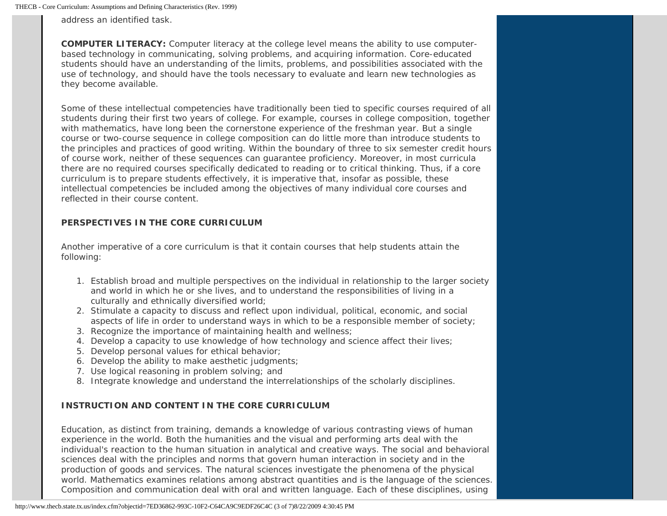address an identified task.

**COMPUTER LITERACY:** Computer literacy at the college level means the ability to use computerbased technology in communicating, solving problems, and acquiring information. Core-educated students should have an understanding of the limits, problems, and possibilities associated with the use of technology, and should have the tools necessary to evaluate and learn new technologies as they become available.

Some of these intellectual competencies have traditionally been tied to specific courses required of all students during their first two years of college. For example, courses in college composition, together with mathematics, have long been the cornerstone experience of the freshman year. But a single course or two-course sequence in college composition can do little more than introduce students to the principles and practices of good writing. Within the boundary of three to six semester credit hours of course work, neither of these sequences can guarantee proficiency. Moreover, in most curricula there are no required courses specifically dedicated to reading or to critical thinking. Thus, if a core curriculum is to prepare students effectively, it is imperative that, insofar as possible, these intellectual competencies be included among the objectives of many individual core courses and reflected in their course content.

# **PERSPECTIVES IN THE CORE CURRICULUM**

Another imperative of a core curriculum is that it contain courses that help students attain the following:

- 1. Establish broad and multiple perspectives on the individual in relationship to the larger society and world in which he or she lives, and to understand the responsibilities of living in a culturally and ethnically diversified world;
- 2. Stimulate a capacity to discuss and reflect upon individual, political, economic, and social aspects of life in order to understand ways in which to be a responsible member of society;
- 3. Recognize the importance of maintaining health and wellness;
- 4. Develop a capacity to use knowledge of how technology and science affect their lives;
- 5. Develop personal values for ethical behavior;
- 6. Develop the ability to make aesthetic judgments;
- 7. Use logical reasoning in problem solving; and
- 8. Integrate knowledge and understand the interrelationships of the scholarly disciplines.

# **INSTRUCTION AND CONTENT IN THE CORE CURRICULUM**

Education, as distinct from training, demands a knowledge of various contrasting views of human experience in the world. Both the humanities and the visual and performing arts deal with the individual's reaction to the human situation in analytical and creative ways. The social and behavioral sciences deal with the principles and norms that govern human interaction in society and in the production of goods and services. The natural sciences investigate the phenomena of the physical world. Mathematics examines relations among abstract quantities and is the language of the sciences. Composition and communication deal with oral and written language. Each of these disciplines, using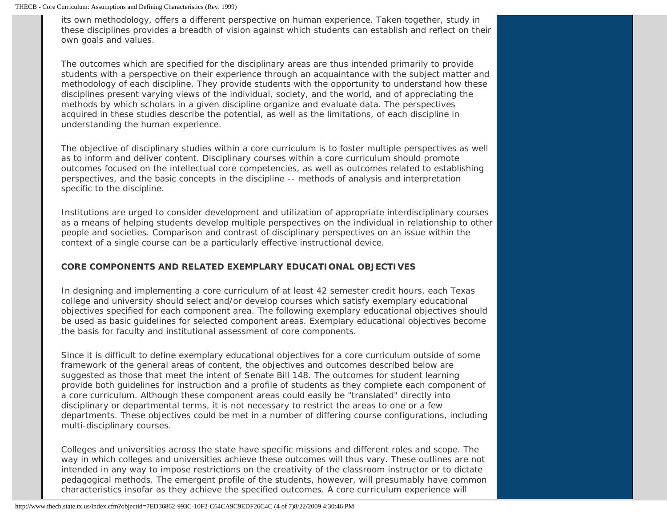its own methodology, offers a different perspective on human experience. Taken together, study in these disciplines provides a breadth of vision against which students can establish and reflect on their own goals and values.

The outcomes which are specified for the disciplinary areas are thus intended primarily to provide students with a perspective on their experience through an acquaintance with the subject matter and methodology of each discipline. They provide students with the opportunity to understand how these disciplines present varying views of the individual, society, and the world, and of appreciating the methods by which scholars in a given discipline organize and evaluate data. The perspectives acquired in these studies describe the potential, as well as the limitations, of each discipline in understanding the human experience.

The objective of disciplinary studies within a core curriculum is to foster multiple perspectives as well as to inform and deliver content. Disciplinary courses within a core curriculum should promote outcomes focused on the intellectual core competencies, as well as outcomes related to establishing perspectives, and the basic concepts in the discipline -- methods of analysis and interpretation specific to the discipline.

Institutions are urged to consider development and utilization of appropriate interdisciplinary courses as a means of helping students develop multiple perspectives on the individual in relationship to other people and societies. Comparison and contrast of disciplinary perspectives on an issue within the context of a single course can be a particularly effective instructional device.

### **CORE COMPONENTS AND RELATED EXEMPLARY EDUCATIONAL OBJECTIVES**

In designing and implementing a core curriculum of at least 42 semester credit hours, each Texas college and university should select and/or develop courses which satisfy exemplary educational objectives specified for each component area. The following exemplary educational objectives should be used as basic guidelines for selected component areas. Exemplary educational objectives become the basis for faculty and institutional assessment of core components.

Since it is difficult to define exemplary educational objectives for a core curriculum outside of some framework of the general areas of content, the objectives and outcomes described below are suggested as those that meet the intent of Senate Bill 148. The outcomes for student learning provide both guidelines for instruction and a profile of students as they complete each component of a core curriculum. Although these component areas could easily be "translated" directly into disciplinary or departmental terms, it is not necessary to restrict the areas to one or a few departments. These objectives could be met in a number of differing course configurations, including multi-disciplinary courses.

Colleges and universities across the state have specific missions and different roles and scope. The way in which colleges and universities achieve these outcomes will thus vary. These outlines are not intended in any way to impose restrictions on the creativity of the classroom instructor or to dictate pedagogical methods. The emergent profile of the students, however, will presumably have common characteristics insofar as they achieve the specified outcomes. A core curriculum experience will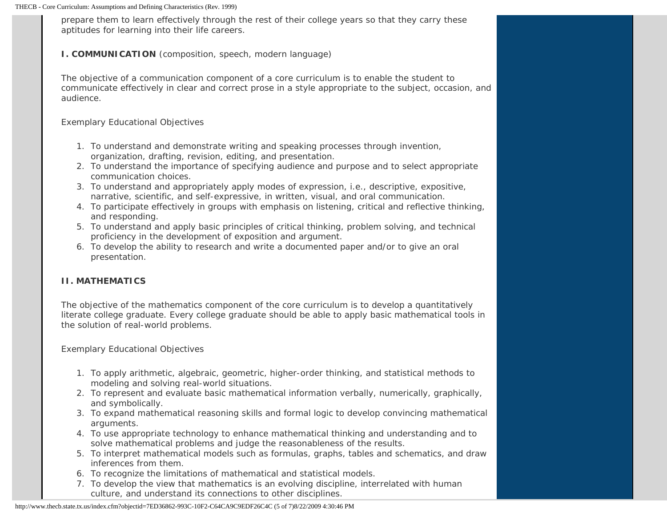prepare them to learn effectively through the rest of their college years so that they carry these aptitudes for learning into their life careers.

### **I. COMMUNICATION** (composition, speech, modern language)

The objective of a communication component of a core curriculum is to enable the student to communicate effectively in clear and correct prose in a style appropriate to the subject, occasion, and audience.

### *Exemplary Educational Objectives*

- 1. To understand and demonstrate writing and speaking processes through invention, organization, drafting, revision, editing, and presentation.
- 2. To understand the importance of specifying audience and purpose and to select appropriate communication choices.
- 3. To understand and appropriately apply modes of expression, i.e., descriptive, expositive, narrative, scientific, and self-expressive, in written, visual, and oral communication.
- 4. To participate effectively in groups with emphasis on listening, critical and reflective thinking, and responding.
- 5. To understand and apply basic principles of critical thinking, problem solving, and technical proficiency in the development of exposition and argument.
- 6. To develop the ability to research and write a documented paper and/or to give an oral presentation.

# **II. MATHEMATICS**

The objective of the mathematics component of the core curriculum is to develop a quantitatively literate college graduate. Every college graduate should be able to apply basic mathematical tools in the solution of real-world problems.

*Exemplary Educational Objectives*

- 1. To apply arithmetic, algebraic, geometric, higher-order thinking, and statistical methods to modeling and solving real-world situations.
- 2. To represent and evaluate basic mathematical information verbally, numerically, graphically, and symbolically.
- 3. To expand mathematical reasoning skills and formal logic to develop convincing mathematical arguments.
- 4. To use appropriate technology to enhance mathematical thinking and understanding and to solve mathematical problems and judge the reasonableness of the results.
- 5. To interpret mathematical models such as formulas, graphs, tables and schematics, and draw inferences from them.
- 6. To recognize the limitations of mathematical and statistical models.
- 7. To develop the view that mathematics is an evolving discipline, interrelated with human culture, and understand its connections to other disciplines.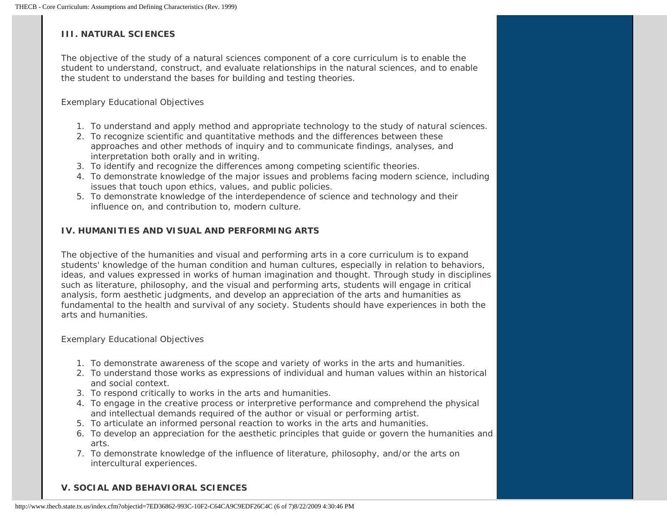### **III. NATURAL SCIENCES**

The objective of the study of a natural sciences component of a core curriculum is to enable the student to understand, construct, and evaluate relationships in the natural sciences, and to enable the student to understand the bases for building and testing theories.

#### *Exemplary Educational Objectives*

- 1. To understand and apply method and appropriate technology to the study of natural sciences.
- 2. To recognize scientific and quantitative methods and the differences between these approaches and other methods of inquiry and to communicate findings, analyses, and interpretation both orally and in writing.
- 3. To identify and recognize the differences among competing scientific theories.
- 4. To demonstrate knowledge of the major issues and problems facing modern science, including issues that touch upon ethics, values, and public policies.
- 5. To demonstrate knowledge of the interdependence of science and technology and their influence on, and contribution to, modern culture.

# **IV. HUMANITIES AND VISUAL AND PERFORMING ARTS**

The objective of the humanities and visual and performing arts in a core curriculum is to expand students' knowledge of the human condition and human cultures, especially in relation to behaviors, ideas, and values expressed in works of human imagination and thought. Through study in disciplines such as literature, philosophy, and the visual and performing arts, students will engage in critical analysis, form aesthetic judgments, and develop an appreciation of the arts and humanities as fundamental to the health and survival of any society. Students should have experiences in both the arts and humanities.

### *Exemplary Educational Objectives*

- 1. To demonstrate awareness of the scope and variety of works in the arts and humanities.
- 2. To understand those works as expressions of individual and human values within an historical and social context.
- 3. To respond critically to works in the arts and humanities.
- 4. To engage in the creative process or interpretive performance and comprehend the physical and intellectual demands required of the author or visual or performing artist.
- 5. To articulate an informed personal reaction to works in the arts and humanities.
- 6. To develop an appreciation for the aesthetic principles that guide or govern the humanities and arts.
- 7. To demonstrate knowledge of the influence of literature, philosophy, and/or the arts on intercultural experiences.

# **V. SOCIAL AND BEHAVIORAL SCIENCES**